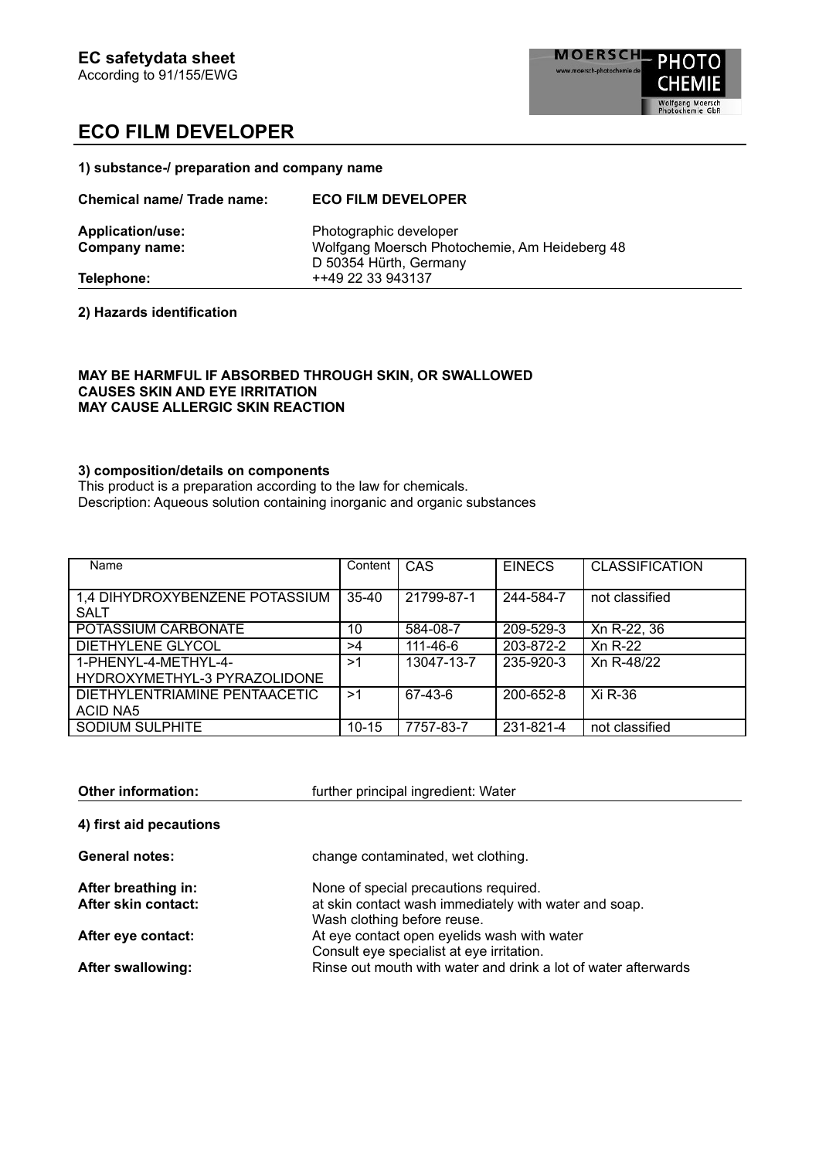**1) substance-/ preparation and company name**

| <b>Chemical name/ Trade name:</b>               | <b>ECO FILM DEVELOPER</b>                                                                         |
|-------------------------------------------------|---------------------------------------------------------------------------------------------------|
| <b>Application/use:</b><br><b>Company name:</b> | Photographic developer<br>Wolfgang Moersch Photochemie, Am Heideberg 48<br>D 50354 Hürth, Germany |
| Telephone:                                      | ++49 22 33 943137                                                                                 |

**2) Hazards identification**

### **MAY BE HARMFUL IF ABSORBED THROUGH SKIN, OR SWALLOWED CAUSES SKIN AND EYE IRRITATION MAY CAUSE ALLERGIC SKIN REACTION**

#### **3) composition/details on components**

This product is a preparation according to the law for chemicals. Description: Aqueous solution containing inorganic and organic substances

| Name                                          | Content   | CAS            | <b>EINECS</b> | <b>CLASSIFICATION</b> |
|-----------------------------------------------|-----------|----------------|---------------|-----------------------|
| 1,4 DIHYDROXYBENZENE POTASSIUM<br><b>SALT</b> | $35 - 40$ | 21799-87-1     | 244-584-7     | not classified        |
| POTASSIUM CARBONATE                           | 10        | 584-08-7       | 209-529-3     | Xn R-22, 36           |
| <b>DIETHYLENE GLYCOL</b>                      | >4        | $111 - 46 - 6$ | 203-872-2     | Xn R-22               |
| 1-PHENYL-4-METHYL-4-                          | >1        | 13047-13-7     | 235-920-3     | Xn R-48/22            |
| HYDROXYMETHYL-3 PYRAZOLIDONE                  |           |                |               |                       |
| DIETHYLENTRIAMINE PENTAACETIC                 | >1        | 67-43-6        | 200-652-8     | Xi R-36               |
| <b>ACID NA5</b>                               |           |                |               |                       |
| <b>SODIUM SULPHITE</b>                        | $10 - 15$ | 7757-83-7      | 231-821-4     | not classified        |

| <b>Other information:</b>                  | further principal ingredient: Water                                                                                           |
|--------------------------------------------|-------------------------------------------------------------------------------------------------------------------------------|
| 4) first aid pecautions                    |                                                                                                                               |
| <b>General notes:</b>                      | change contaminated, wet clothing.                                                                                            |
| After breathing in:<br>After skin contact: | None of special precautions required.<br>at skin contact wash immediately with water and soap.<br>Wash clothing before reuse. |
| After eye contact:                         | At eye contact open eyelids wash with water<br>Consult eye specialist at eye irritation.                                      |
| <b>After swallowing:</b>                   | Rinse out mouth with water and drink a lot of water afterwards                                                                |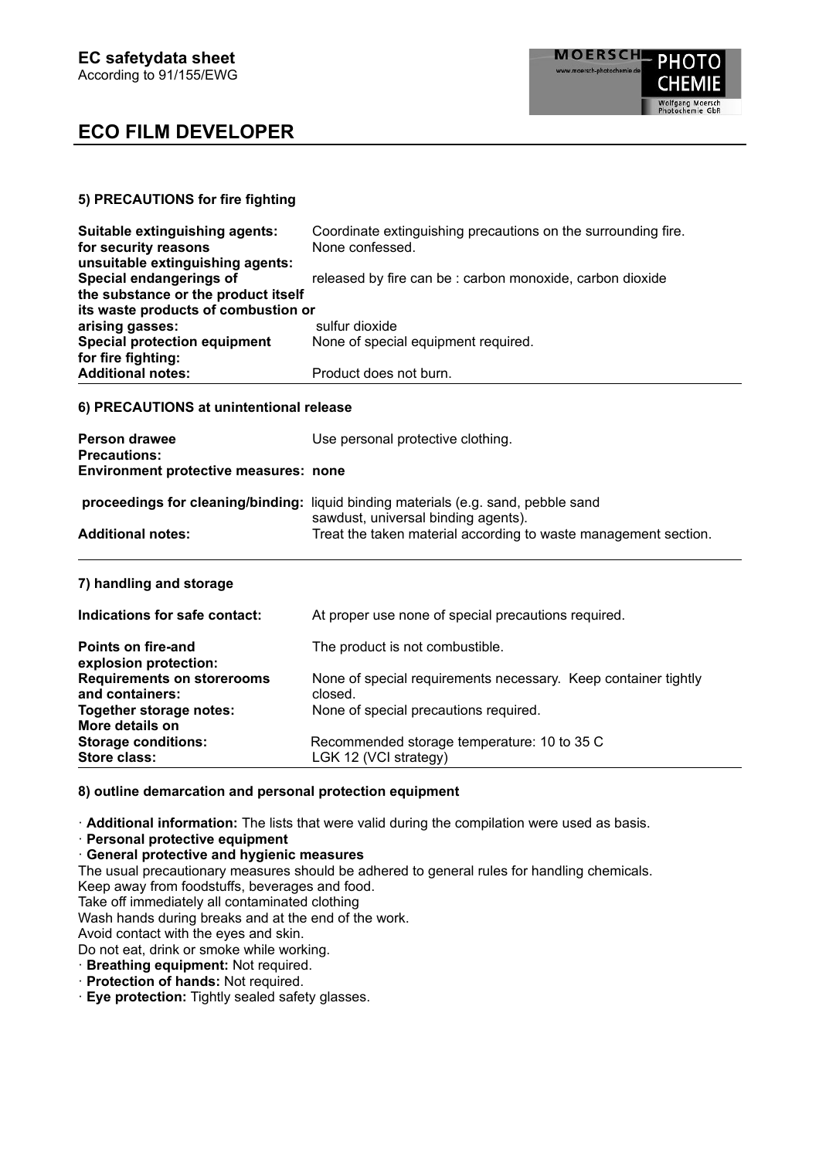### **5) PRECAUTIONS for fire fighting**

| Suitable extinguishing agents:      | Coordinate extinguishing precautions on the surrounding fire. |
|-------------------------------------|---------------------------------------------------------------|
| for security reasons                | None confessed.                                               |
| unsuitable extinguishing agents:    |                                                               |
| Special endangerings of             | released by fire can be : carbon monoxide, carbon dioxide     |
| the substance or the product itself |                                                               |
| its waste products of combustion or |                                                               |
| arising gasses:                     | sulfur dioxide                                                |
| <b>Special protection equipment</b> | None of special equipment required.                           |
| for fire fighting:                  |                                                               |
| <b>Additional notes:</b>            | Product does not burn.                                        |

#### **6) PRECAUTIONS at unintentional release**

| <b>Person drawee</b><br><b>Precautions:</b><br>Environment protective measures: none | Use personal protective clothing.                                                                                                                                                            |
|--------------------------------------------------------------------------------------|----------------------------------------------------------------------------------------------------------------------------------------------------------------------------------------------|
| <b>Additional notes:</b>                                                             | proceedings for cleaning/binding: liquid binding materials (e.g. sand, pebble sand<br>sawdust, universal binding agents).<br>Treat the taken material according to waste management section. |
| 7) handling and storage                                                              |                                                                                                                                                                                              |
| Indications for safe contact:                                                        | At proper use none of special precautions required.                                                                                                                                          |
| Points on fire-and<br>explosion protection:                                          | The product is not combustible.                                                                                                                                                              |

| <b>Requirements on storerooms</b> | None of special requirements necessary. Keep container tightly |  |
|-----------------------------------|----------------------------------------------------------------|--|
| and containers:                   | closed.                                                        |  |
| Together storage notes:           | None of special precautions required.                          |  |
| More details on                   |                                                                |  |

### **8) outline demarcation and personal protection equipment**

Store class: LGK 12 (VCI strategy)

· **Additional information:** The lists that were valid during the compilation were used as basis.

**Storage conditions:** Recommended storage temperature: 10 to 35 C

· **Personal protective equipment**

· **General protective and hygienic measures**

The usual precautionary measures should be adhered to general rules for handling chemicals.

Keep away from foodstuffs, beverages and food.

Take off immediately all contaminated clothing

Wash hands during breaks and at the end of the work.

Avoid contact with the eyes and skin.

Do not eat, drink or smoke while working.

· **Breathing equipment:** Not required.

· **Protection of hands:** Not required.

· **Eye protection:** Tightly sealed safety glasses.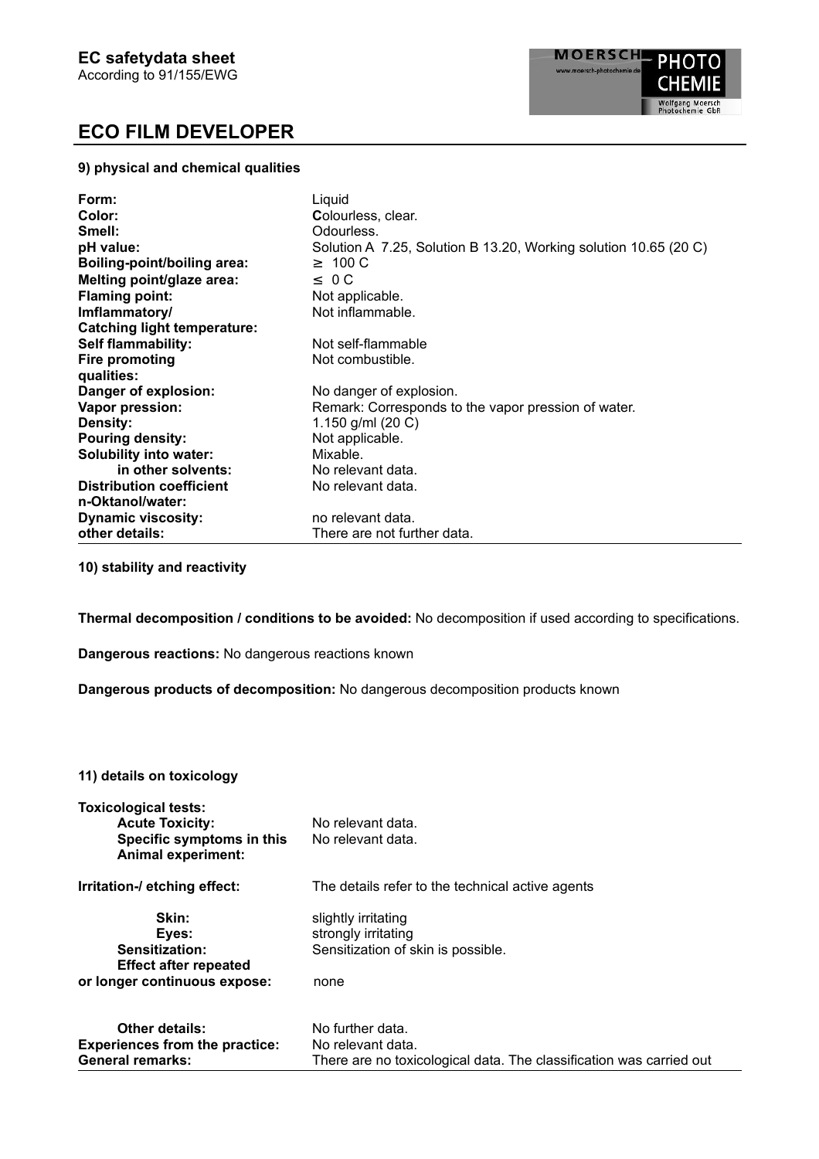### **9) physical and chemical qualities**

| Form:                              | Liguid                                                           |
|------------------------------------|------------------------------------------------------------------|
| Color:                             | Colourless, clear.                                               |
| Smell:                             | Odourless.                                                       |
| pH value:                          | Solution A 7.25, Solution B 13.20, Working solution 10.65 (20 C) |
| Boiling-point/boiling area:        | $\geq 100 \text{ C}$                                             |
| Melting point/glaze area:          | $\leq$ 0 C                                                       |
| <b>Flaming point:</b>              | Not applicable.                                                  |
| Imflammatory/                      | Not inflammable.                                                 |
| <b>Catching light temperature:</b> |                                                                  |
| <b>Self flammability:</b>          | Not self-flammable                                               |
| Fire promoting                     | Not combustible.                                                 |
| qualities:                         |                                                                  |
| Danger of explosion:               | No danger of explosion.                                          |
| Vapor pression:                    | Remark: Corresponds to the vapor pression of water.              |
| <b>Density:</b>                    | 1.150 g/ml $(20 C)$                                              |
| <b>Pouring density:</b>            | Not applicable.                                                  |
| <b>Solubility into water:</b>      | Mixable.                                                         |
| in other solvents:                 | No relevant data.                                                |
| <b>Distribution coefficient</b>    | No relevant data.                                                |
| n-Oktanol/water:                   |                                                                  |
| <b>Dynamic viscosity:</b>          | no relevant data.                                                |
| other details:                     | There are not further data.                                      |

**10) stability and reactivity**

**Thermal decomposition / conditions to be avoided:** No decomposition if used according to specifications.

**Dangerous reactions:** No dangerous reactions known

**Dangerous products of decomposition:** No dangerous decomposition products known

#### **11) details on toxicology**

| <b>Toxicological tests:</b><br><b>Acute Toxicity:</b><br>Specific symptoms in this<br><b>Animal experiment:</b> | No relevant data.<br>No relevant data.                                                                       |
|-----------------------------------------------------------------------------------------------------------------|--------------------------------------------------------------------------------------------------------------|
| Irritation-/ etching effect:                                                                                    | The details refer to the technical active agents                                                             |
| Skin:<br>Eyes:<br>Sensitization:<br><b>Effect after repeated</b><br>or longer continuous expose:                | slightly irritating<br>strongly irritating<br>Sensitization of skin is possible.<br>none                     |
| <b>Other details:</b><br><b>Experiences from the practice:</b><br><b>General remarks:</b>                       | No further data.<br>No relevant data.<br>There are no toxicological data. The classification was carried out |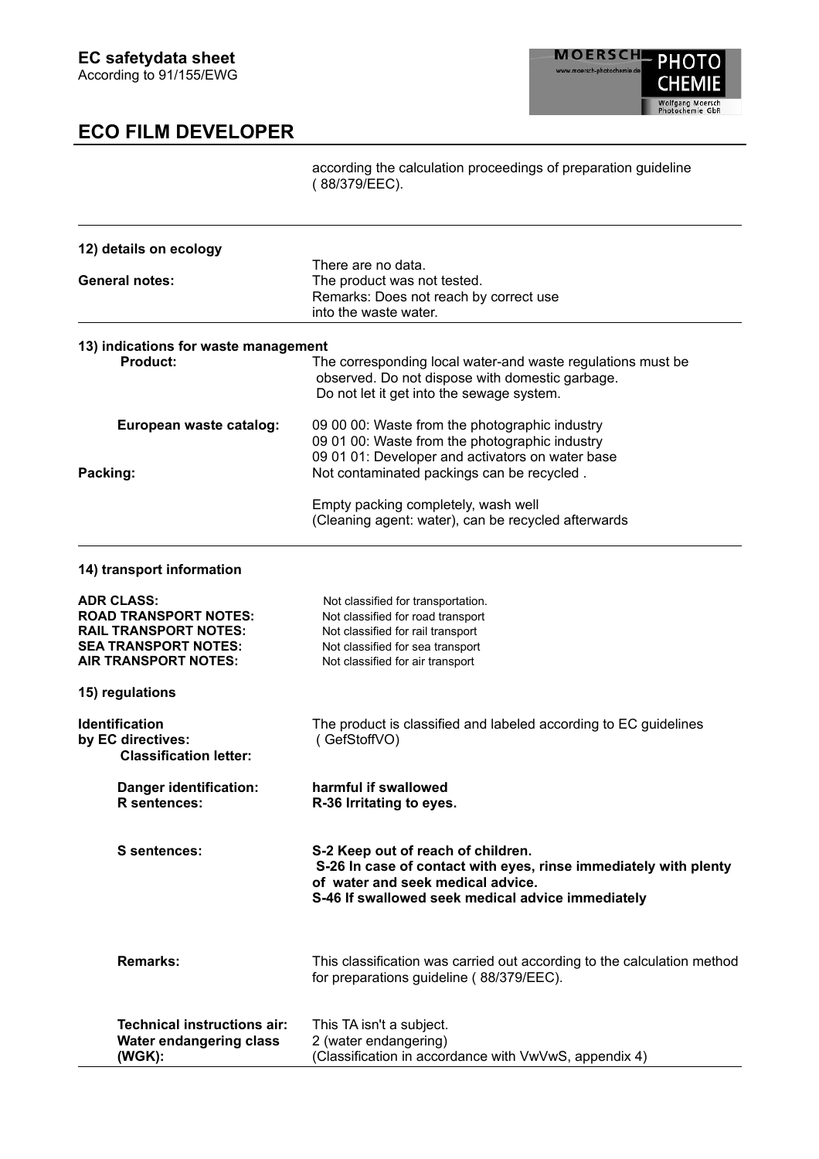according the calculation proceedings of preparation guideline ( 88/379/EEC).

| 12) details on ecology                 |                                                                         |
|----------------------------------------|-------------------------------------------------------------------------|
|                                        | There are no data.                                                      |
| <b>General notes:</b>                  | The product was not tested.                                             |
|                                        | Remarks: Does not reach by correct use                                  |
|                                        | into the waste water.                                                   |
| 13) indications for waste management   |                                                                         |
| Product:                               | The corresponding local water-and waste regulations must be             |
|                                        | observed. Do not dispose with domestic garbage.                         |
|                                        | Do not let it get into the sewage system.                               |
|                                        |                                                                         |
| European waste catalog:                | 09 00 00: Waste from the photographic industry                          |
|                                        | 09 01 00: Waste from the photographic industry                          |
|                                        | 09 01 01: Developer and activators on water base                        |
| Packing:                               | Not contaminated packings can be recycled.                              |
|                                        | Empty packing completely, wash well                                     |
|                                        | (Cleaning agent: water), can be recycled afterwards                     |
|                                        |                                                                         |
| 14) transport information              |                                                                         |
|                                        |                                                                         |
| <b>ADR CLASS:</b>                      | Not classified for transportation.                                      |
| <b>ROAD TRANSPORT NOTES:</b>           | Not classified for road transport                                       |
| <b>RAIL TRANSPORT NOTES:</b>           | Not classified for rail transport                                       |
| <b>SEA TRANSPORT NOTES:</b>            | Not classified for sea transport                                        |
| <b>AIR TRANSPORT NOTES:</b>            | Not classified for air transport                                        |
| 15) regulations                        |                                                                         |
| <b>Identification</b>                  | The product is classified and labeled according to EC guidelines        |
| by EC directives:                      | (GefStoffVO)                                                            |
| <b>Classification letter:</b>          |                                                                         |
|                                        | harmful if swallowed                                                    |
| Danger identification:<br>R sentences: | R-36 Irritating to eyes.                                                |
|                                        |                                                                         |
| S sentences:                           | S-2 Keep out of reach of children.                                      |
|                                        | S-26 In case of contact with eyes, rinse immediately with plenty        |
|                                        | of water and seek medical advice.                                       |
|                                        | S-46 If swallowed seek medical advice immediately                       |
|                                        |                                                                         |
|                                        |                                                                         |
| <b>Remarks:</b>                        | This classification was carried out according to the calculation method |
|                                        | for preparations guideline (88/379/EEC).                                |
| <b>Technical instructions air:</b>     | This TA isn't a subject.                                                |
| <b>Water endangering class</b>         | 2 (water endangering)                                                   |
| (WGK):                                 | (Classification in accordance with VwVwS, appendix 4)                   |
|                                        |                                                                         |